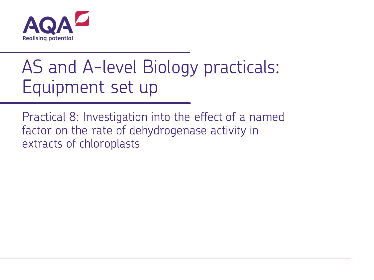

# AS and A-level Biology practicals: Equipment set up

Practical 8: Investigation into the effect of a named factor on the rate of dehydrogenase activity in extracts of chloroplasts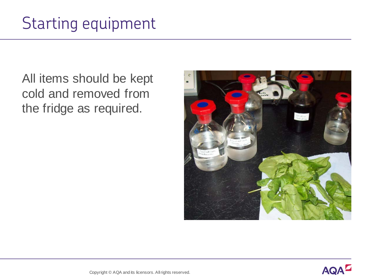All items should be kept cold and removed from the fridge as required.

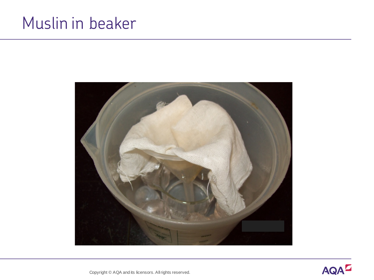#### Muslin in beaker



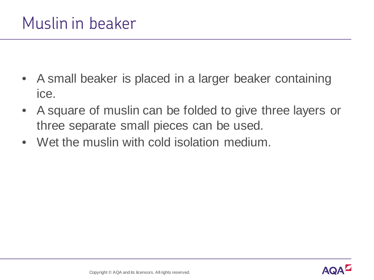- A small beaker is placed in a larger beaker containing ice.
- A square of muslin can be folded to give three layers or three separate small pieces can be used.
- Wet the muslin with cold isolation medium.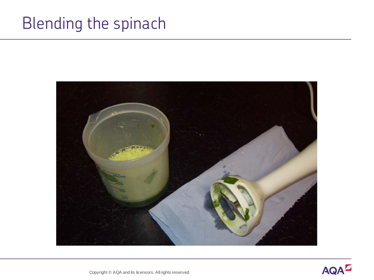## Blending the spinach



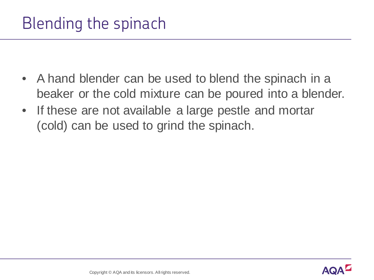- A hand blender can be used to blend the spinach in a beaker or the cold mixture can be poured into a blender.
- If these are not available a large pestle and mortar (cold) can be used to grind the spinach.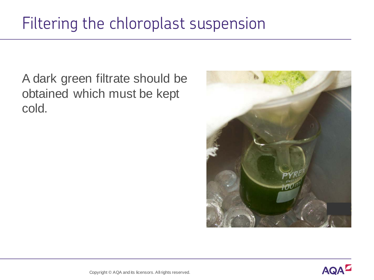A dark green filtrate should be obtained which must be kept cold.



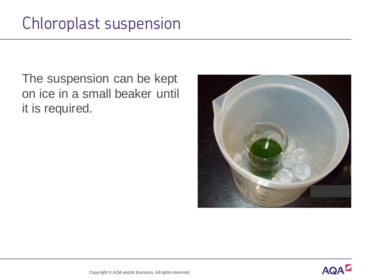The suspension can be kept on ice in a small beaker until it is required.



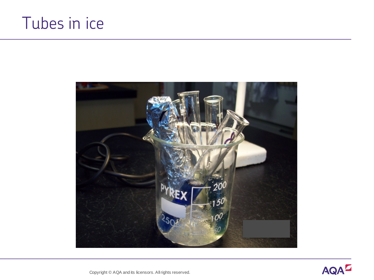### Tubes in ice



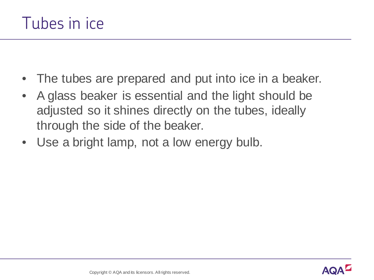- The tubes are prepared and put into ice in a beaker.
- A glass beaker is essential and the light should be adjusted so it shines directly on the tubes, ideally through the side of the beaker.
- Use a bright lamp, not a low energy bulb.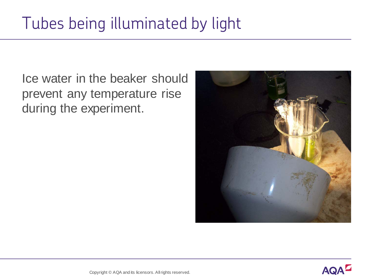Ice water in the beaker should prevent any temperature rise during the experiment.